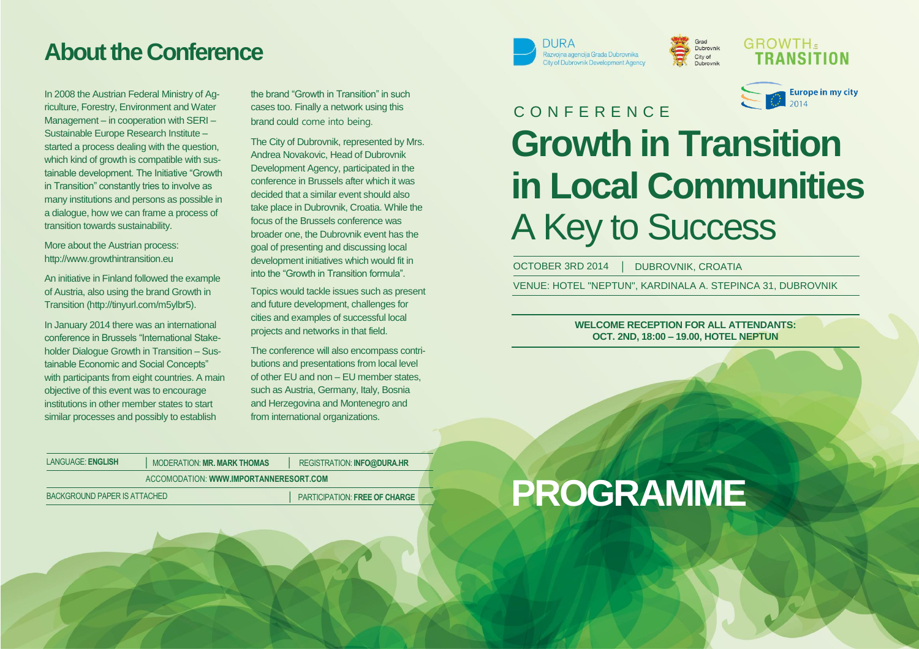## **About the Conference**

In 2008 the Austrian Federal Ministry of Agriculture, Forestry, Environment and Water Management – in cooperation with SERI – Sustainable Europe Research Institute – started a process dealing with the question, which kind of growth is compatible with sustainable development. The Initiative "Growth in Transition" constantly tries to involve as many institutions and persons as possible in a dialogue, how we can frame a process of transition towards sustainability.

More about the Austrian process: [http://www.growthintransition.eu](http://www.growthintransition.eu/)

An initiative in Finland followed the example of Austria, also using the brand Growth in Transition [\(http://tinyurl.com/m5ylbr5\)](http://tinyurl.com/m5ylbr5).

In January 2014 there was an international conference in Brussels "International Stakeholder Dialogue Growth in Transition – Sustainable Economic and Social Concepts" with participants from eight countries. A main objective of this event was to encourage institutions in other member states to start similar processes and possibly to establish

the brand "Growth in Transition" in such cases too. Finally a network using this brand could come into being.

The City of Dubrovnik, represented by Mrs. Andrea Novakovic, Head of Dubrovnik Development Agency, participated in the conference in Brussels after which it was decided that a similar event should also take place in Dubrovnik, Croatia. While the focus of the Brussels conference was broader one, the Dubrovnik event has the goal of presenting and discussing local development initiatives which would fit in into the "Growth in Transition formula".

Topics would tackle issues such as present and future development, challenges for cities and examples of successful local projects and networks in that field.

The conference will also encompass contributions and presentations from local level of other EU and non – EU member states, such as Austria, Germany, Italy, Bosnia and Herzegovina and Montenegro and from international organizations.



Grad<br>Dubrovnik City of



**GROWTH.** 

## 2014 C O N F E R E N C E **Growth in Transition in Local Communities** A Key to Success

OCTOBER 3RD 2014 | DUBROVNIK, CROATIA

VENUE: HOTEL "NEPTUN", KARDINALA A. STEPINCA 31, DUBROVNIK

**WELCOME RECEPTION FOR ALL ATTENDANTS: OCT. 2ND, 18:00 – 19.00, HOTEL NEPTUN**

| LANGUAGE: ENGLISH                                                           | <b>MODERATION: MR. MARK THOMAS</b> | REGISTRATION: INFO@DURA.HR |
|-----------------------------------------------------------------------------|------------------------------------|----------------------------|
| ACCOMODATION: WWW.IMPORTANNERESORT.COM                                      |                                    |                            |
| <b>PARTICIPATION: FREE OF CHARGE</b><br><b>BACKGROUND PAPER IS ATTACHED</b> |                                    |                            |